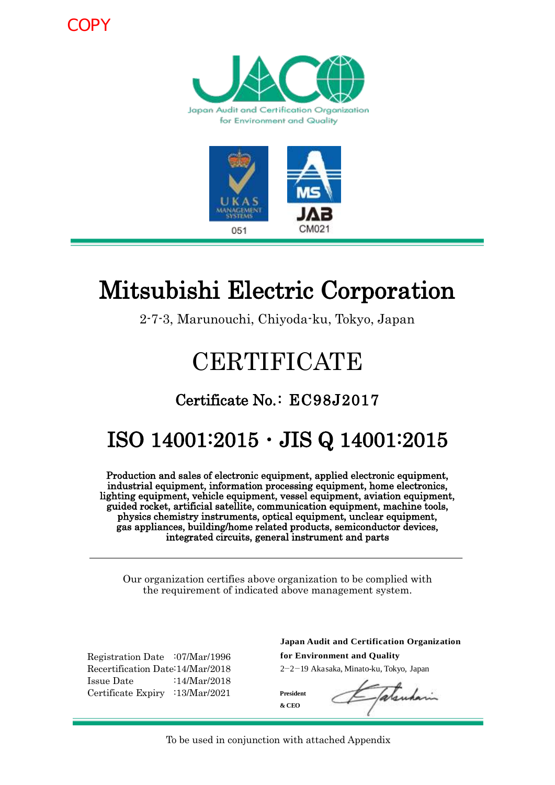COPY





# Mitsubishi Electric Corporation

2-7-3, Marunouchi, Chiyoda-ku, Tokyo, Japan

# **CERTIFICATE**

### Certificate No.: EC98J2017

## ISO 14001:2015・JIS Q 14001:2015

Production and sales of electronic equipment, applied electronic equipment, industrial equipment, information processing equipment, home electronics, lighting equipment, vehicle equipment, vessel equipment, aviation equipment, guided rocket, artificial satellite, communication equipment, machine tools, physics chemistry instruments, optical equipment, unclear equipment, gas appliances, building/home related products, semiconductor devices, integrated circuits, general instrument and parts

Our organization certifies above organization to be complied with the requirement of indicated above management system.

Registration Date :07/Mar/1996 Recertification Date:14/Mar/2018 Issue Date :14/Mar/2018 Certificate Expiry :13/Mar/2021

**for Environment and Quality** 2-2-19 Akasaka, Minato-ku, Tokyo, Japan **Japan Audit and Certification Organization**

**President & CEO**

2-2-19 Akasaka, Minato-ku, Tokyo, Japan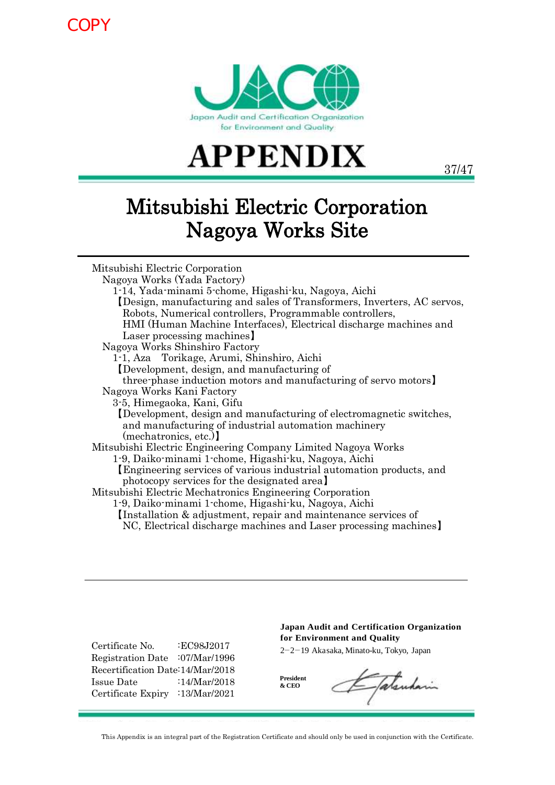**COPY** 





37/47

## Mitsubishi Electric Corporation Nagoya Works Site

| Mitsubishi Electric Corporation                                        |
|------------------------------------------------------------------------|
| Nagoya Works (Yada Factory)                                            |
| 1-14, Yada-minami 5-chome, Higashi-ku, Nagoya, Aichi                   |
| Design, manufacturing and sales of Transformers, Inverters, AC servos, |
| Robots, Numerical controllers, Programmable controllers,               |
| HMI (Human Machine Interfaces), Electrical discharge machines and      |
| Laser processing machines.                                             |
| Nagoya Works Shinshiro Factory                                         |
| 1-1, Aza Torikage, Arumi, Shinshiro, Aichi                             |
| Development, design, and manufacturing of                              |
| three-phase induction motors and manufacturing of servo motors         |
| Nagoya Works Kani Factory                                              |
| 3-5, Himegaoka, Kani, Gifu                                             |
| Development, design and manufacturing of electromagnetic switches,     |
| and manufacturing of industrial automation machinery                   |
| (mechatronics, etc.)                                                   |
| Mitsubishi Electric Engineering Company Limited Nagoya Works           |
| 1-9, Daiko-minami 1-chome, Higashi-ku, Nagoya, Aichi                   |
| Engineering services of various industrial automation products, and    |
| photocopy services for the designated area                             |
| Mitsubishi Electric Mechatronics Engineering Corporation               |
| 1-9, Daiko-minami 1-chome, Higashi-ku, Nagoya, Aichi                   |
| Installation & adjustment, repair and maintenance services of          |
| NC, Electrical discharge machines and Laser processing machines        |
|                                                                        |

Certificate No. :EC98J2017 Registration Date :07/Mar/1996 Recertification Date:14/Mar/2018 Issue Date :14/Mar/2018 Certificate Expiry :13/Mar/2021

#### **Japan Audit and Certification Organization Japan Audit and Certification Organization for Environment and Quality for Environment and Quality**

2-2-19 Akasaka, Minato-ku, Tokyo, Japan 2-2-19 Akasaka, Minato-ku, Tokyo, Japan

**President & CEO & CEO President**

Etatenham

This Appendix is an integral part of the Registration Certificate and should only be used in conjunction with the Certificate.